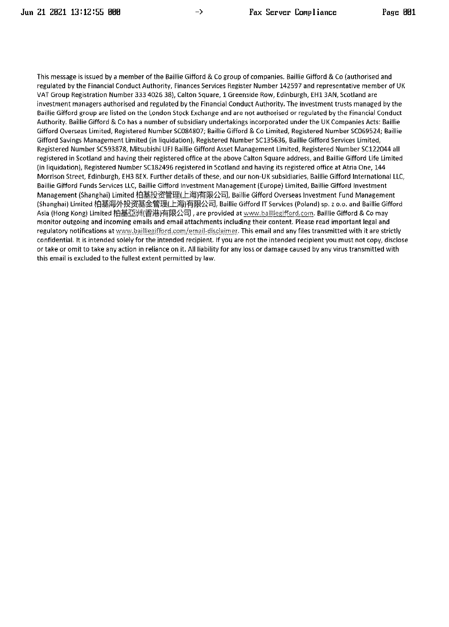This message is issued by a member of the Baillie Gifford & Co group of companies. Baillie Gifford & Co (authorised and regulated by the Financial Conduct Authority, Finances Services Register Number 142597 and representative member of UK VAT Group Registration Number 333 4026 38), Calton Square, 1 Greenside Row, Edinburgh, EH1 3AN, Scotland are investment managers authorised and regulated by the Financial Conduct Authority. The investment trusts managed by the Baillie Gifford group are listed on the London Stock Exchange and are not authorised or regulated by the Financial Conduct Authority. Baillie Gifford & Co has a number of subsidiary undertakings incorporated under the UK Companies Acts: Baillie Gifford Overseas Limited, Registered Number SC084807; Baillie Gifford & Co Limited, Registered Number SC069524; Baillie Gifford Savings Management Limited (in liquidation), Registered Number SC135636, Baillie Gifford Services Limited, Registered Number SC593878, Mitsubishi UFJ Baillie Gifford Asset Management Limited, Registered Number SC122044 all registered in Scotland and having their registered office at the above Calton Square address, and Baillie Gifford Life Limited (in liquidation), Registered Number SC182496 registered in Scotland and having its registered office at Atria One, 144 Morrison Street, Edinburgh, EH3 8EX. Further details of these, and our non-UK subsidiaries, Baillie Gifford International LLC, Baillie Gifford Funds Services LLC, Baillie Gifford Investment Management (Europe) Limited, Baillie Gifford Investment Management (Shanghai) Limited 柏基投资管理(上海)有限公司, Baillie Gifford Overseas Investment Fund Management (Shanghai) Limited 柏基海外投资基金管理(上海)有限公司, Baillie Gifford IT Services (Poland) sp. z o.o. and Baillie Gifford Asia (Hong Kong) Limited 柏基亞洲(審港)有限公司, are provided at www.bailliegifford.com. Baillie Gifford & Co may monitor outgoing and incoming emails and email attachments including their content. Please read important legal and regulatory notifications at www.bailliegifford.com/email-disclaimer. This email and any files transmitted with it are strictly confidential. It is intended solely for the intended recipient. If you are not the intended recipient you must not copy, disclose or take or omit to take any action in reliance on it. All liability for any loss or damage caused by any virus transmitted with this email is excluded to the fullest extent permitted by law.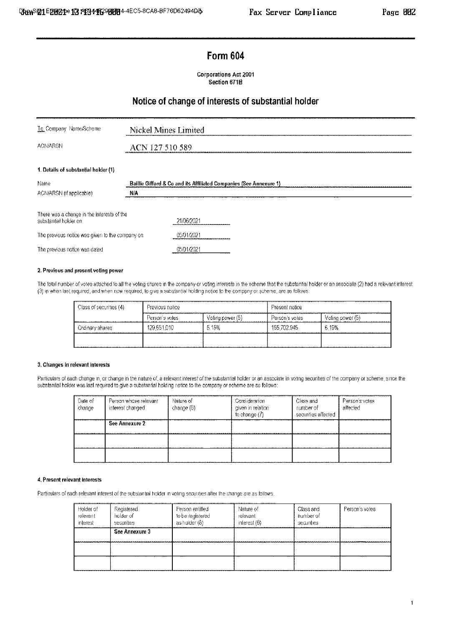## **Form 604**

Corporations Act 2001 Section 671B

## Notice of change of interests of substantial holder

| Nickel Mines Limited                                               |  |  |  |  |
|--------------------------------------------------------------------|--|--|--|--|
| ACN 127 510 589                                                    |  |  |  |  |
|                                                                    |  |  |  |  |
| Baillie Gifford & Co and its Affiliated Companies (See Annexure 1) |  |  |  |  |
| NIA                                                                |  |  |  |  |
| There was a change in the interests of the<br>21/06/2021           |  |  |  |  |
| 05/01/2021<br>The previous notice was given to the company on-     |  |  |  |  |
| 05/01/2021                                                         |  |  |  |  |
|                                                                    |  |  |  |  |

## 2. Previous and present voting power

The total number of votes attached to all the voting shares in the company or voting interests in the scheme that the substantial holder or an associate (2) had a relevant interest (3) in when last required, and when now required, to give a substantial holding notice to the company or scheme, are as follows:

| - Class of securities (4) | Previous notice<br>****************************** |                  | -Present notice -<br>--------- |                  |
|---------------------------|---------------------------------------------------|------------------|--------------------------------|------------------|
|                           | Person's votes                                    | Voling power (5) | Person's votes -               | Voling power (b) |
| Ordinary shares           | 129,551,010                                       | 5.15%            | 155 702 945                    | 6.19%            |
|                           |                                                   |                  |                                |                  |

#### 3. Changes in relevant interests

Particulars of each change in, or change in the nature of, a relevant interest of the substantial holder or an associate in voting securities of the company or scheme, since the substantial holder was last required to give a substantial holding notice to the company or scheme are as follows:

| Date of<br>change | Person whose relevant<br>interest changed | Nature of<br>change (6) | Donsideration<br>given in relation<br>to change (7) | Class and:<br>number of<br>securities affected | Person's votes<br>affected |
|-------------------|-------------------------------------------|-------------------------|-----------------------------------------------------|------------------------------------------------|----------------------------|
|                   | See Annexure ?                            |                         |                                                     |                                                |                            |
|                   |                                           |                         |                                                     |                                                |                            |
|                   |                                           |                         |                                                     |                                                |                            |

#### 4. Present relevant interests

Particulars of each relevant interest of the substantial holder in volting securities after the change are as follows.

| Holder of<br>relevant<br>interest | Registered<br>holder of<br>securities | Ferson entitled<br>to be registered<br>as holder (8) | Nature of<br>relevant<br>interest (6) | Class and<br>number of<br>securities | Person's votes |
|-----------------------------------|---------------------------------------|------------------------------------------------------|---------------------------------------|--------------------------------------|----------------|
|                                   | See Annexure 3                        |                                                      |                                       |                                      |                |
|                                   |                                       |                                                      |                                       |                                      |                |
|                                   |                                       |                                                      | --                                    |                                      |                |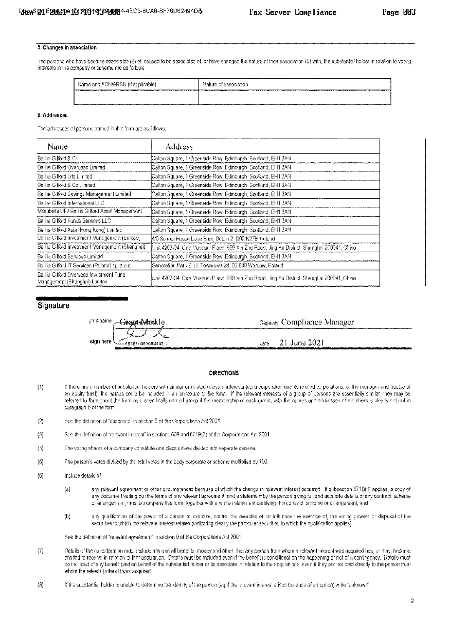#### 5. Changes in association

The persons who have become associates (2) of, ceased to be associates of, or have changed the nature of their association (9) with, the substantial holder in relation to voting interests in the company or scheme are as follows:

| Name and ACN/ARSN (if applicable) | <br>-Nature of association<br><b>.</b><br>,,,,,,,,,,,<br>------ |
|-----------------------------------|-----------------------------------------------------------------|
|                                   |                                                                 |

#### 6. Addresses

The addresses of persons named in this form are as follows:

| Name                                                                      | Address                                                                                      |
|---------------------------------------------------------------------------|----------------------------------------------------------------------------------------------|
| Baillie Gifford & Co.                                                     | {Calton Square, 1 Greenside Row, Edinburgh, Scotland, EH1 3AN                                |
| Baillie Gifford Overseas Limited                                          | Calton Square, 1 Greenside Row, Edinburgh, Scotland, EH1 3AN                                 |
| Baillie Gifford Life Limited                                              | ∲Calton Square, 1 Greenside Row, Edinburgh, Scotland, EM1 3AN                                |
| Baillie Gifford & Co Limited                                              | ∮Calton Square, 1 Greenside Row, Edinburgh, Scotland, EH1 3AN                                |
| Baillie Gifford Savings Management Limited                                | Calton Square, 1 Greenside Row, Edinburgh, Scotland, EH1 3AN                                 |
| Baillie Gifford International LLC                                         | {Calton Square, 1 Greenside Row, Edinburgh, Scotland, EH1 3AN                                |
| Mitsubishi UFJ Baillie Gifford Asset Management                           | ≸Calton Square, 1 Greenside Row, Edinburgh, Scotland, EH1 3AN                                |
| Baillie Gifford Funds Services LLC                                        | ≬Calton Square, 1 Greenside Row, Edinburgh, Scotland, EM1 3AN                                |
| Baillie Gifford Asia (Hong Kong) Limited                                  | Calton Square, 1 Greenside Row, Edinburgh, Scotland, EH1 3AN                                 |
| Baillie Gifford Investment Management (Europe)                            | 4/5 School House Lane East, Dublin 2, D02 N279, Ireland.                                     |
| Baillie Gifford Investment Management (Shanghai)                          | ใ∪nit 4203-04, One Museum Place, 669 Xin Zha Road, Jing An District, Shanghai 200041, China  |
| Baillie Gifford Services Limited                                          | {Calton Square, 1 Greenside Row, Edinburgh, Scotland, EH1 3AN                                |
| Baillie Gifford IT Services (Poland) sp. z o.o.                           | ≹Generation Park Z, ul. Towarowa 28, 00-839 Warsaw, Polandi                                  |
| Baillie Gifford Overseas Investment Fund<br>Management (Shanghai) Limited | \$Unit 4203-04, One Museum Place, 669 Xin Zha Road. Jing An District, Shanghai 200041, China |

## Signature



#### **DIRECTIONS**

- If there are a number of substantial holders with similar or related relevant interests (eg a corporation and its related corporations, or the manager and trustee of  $(1)$ an equity trust), the names could be included in an annexure to the form. If the relevant interests of a group of persons are essentially similar, they may be referred to throughout the form as a specifically named group if the membership of each group, with the names and addresses of members is clearly set out in paragraph 6 of the form.
- $(2)$ See the definition of "associate" in section 9 of the Corporations Act 2001.
- See the definition of "relevant interest" in sections 608 and 671B(7) of the Corporations Act 2001  $(3)$
- $(4)$ The voting shares of a company constitute one class unless divided into separate classes.
- $(5)$ The person's votes divided by the total votes in the body corporate or scheme multiplied by 100.
- $(6)$ Include details of:
	- any relevant agreement or other circumstances because of which the change in relevant interest occurred. If subsection 671B(4) applies, a copy of  $\{e\}$ any document setting out the terms of any relevant agreement, and a statement by the person giving full and accurate details of any contract, scheme or arrangement, must accompany this form, together with a written statement certifying this contract, scheme or arrangement, and
	- $\langle b \rangle$ any qualification of the power of a person to exercise, control the exercise of, or influence the exercise of, the voting powers or disposal of the securities to which the relevant interest relates (indicating clearly the particular securities to which the qualification applies).

See the definition of "relevant agreement" in section 9 of the Corporations Act 2001

- $(7)$ Details of the consideration must include any and all benefits, money and other, that any person from whom a relevant interest was acquired has, or may, become entified to receive in relation to that acquisition. Details must be included even if the benefit is conditional on the happening or not of a contingency. Details must be included of any benefit paid on behalf of the substantial holder or its associate in relation to the acquisitions, even if they are not paid directly to the person from whom the relevant interest was acquired
- $(8)$ If the substantial holder is unable to determine the identity of the person (eg if the relevant interest arises because of an option) write "unknown".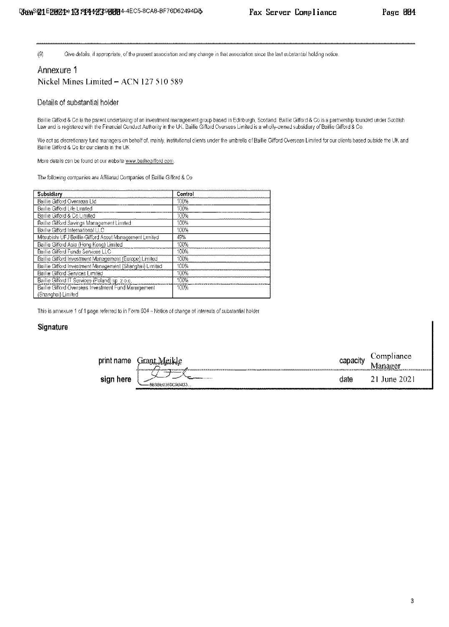$(9)$ Give defails, if appropriate, of the present association and any change in that association since the last substantial holding notice.

## Annexure 1 Nickel Mines Limited - ACN 127 510 589

### Details of substantial holder

Baillie Gifford & Co is the parent undertaking of an investment management group based in Edinburgh, Scotland. Baillie Gifford & Co is a partnership founded under Scottish<br>Law and is registered with the Financial Conduct A

We act as discretionary fund managers on behalf of, mainly, institutional clients under the umbrella of Baillie Gifford Overseas Limited for our clients based outside the UK and Baillie Gifford & Co for our clients in the UK.

More details can be found at our website www.ballhegifford.com.

The following companies are Affiliated Companies of Baillie Gifford & Co.

| Subsidiary                                               | Control |
|----------------------------------------------------------|---------|
| Baillie Gifford Overseas Ltd                             | 100%    |
| Baillie Gifford Life Limited                             | 100%    |
| Baillie Gifford & Coll imited                            | 100%    |
| Baillie Gifford Savings Management Limited               | 100%    |
| Baillie Gifford International LLC                        | IOO%    |
| Mitsubishi UFJ Baillie Gifford Asset Management Limited  | 49%     |
| Baillie Gifford Asia (Flong Kong) Limited                | 100%    |
| Baillie Gifford Funds Services LLC                       | 100%    |
| Baillie Gifford Investment Management (Europe) Limited   | 100%    |
| Baillie Gifford Investment Management (Shanghai) Limited | 100%    |
| Baillie Gifford Services Limited                         | 100%    |
| Baillie Gifford IT Services (Poland) sp. 20.0.           | 100%    |
| Baillie Gifford Overseas Investment Fund Management      | 100%    |
| (Shanghai) Limited                                       |         |

This is annexure 1 of 1 page referred to in Form 604 - Notice of change of interests of substantial holder

## Signature

| print name |                                                                                                                         |            | Comphance                  |
|------------|-------------------------------------------------------------------------------------------------------------------------|------------|----------------------------|
|            | LitantV.k.1<br>iala islami saat maanmaan laat. Tammaan lama la talala la nasara la saata la saat maa<br>MARABA Malaysia | capacity   |                            |
| sign here  | 10000011<br>-883860368090433<br>100414<br>                                                                              | date i<br> | June 2021<br><br>100404444 |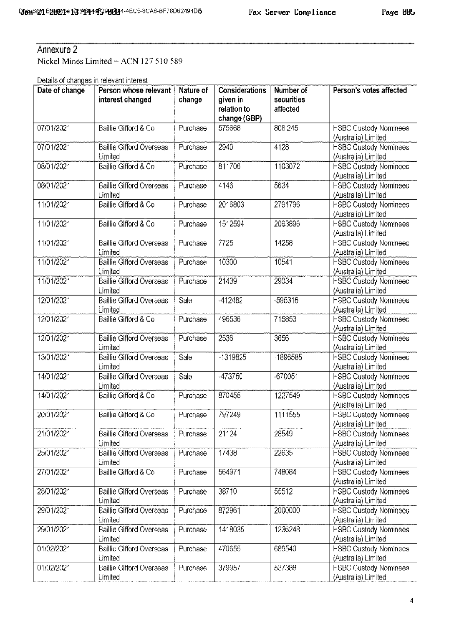# Annexure 2

Nickel Mines Limited - ACN 127 510 589

Details of changes in relevant interest

| Date of change | Person whose relevant<br>interest changed  | Nature of<br>change | <b>Considerations</b><br>given in<br>relation to<br>change (GBP) | Number of<br>securities<br>affected | Person's votes affected                             |
|----------------|--------------------------------------------|---------------------|------------------------------------------------------------------|-------------------------------------|-----------------------------------------------------|
| 07/01/2021     | Baillie Gifford & Co                       | Purchase            | 575668                                                           | 808.245                             | <b>HSBC Custody Nominees</b><br>(Australia) Limited |
| 07/01/2021     | <b>Baillie Gifford Overseas</b><br>Limited | Purchase            | 2940                                                             | 4128                                | <b>HSBC Custody Nominees</b><br>(Australia) Limited |
| 08/01/2021     | Baillie Gifford & Co                       | Purchase            | 811706                                                           | 1103072                             | <b>HSBC Custody Nominees</b><br>(Australia) Limited |
| 08/01/2021     | <b>Baillie Gifford Overseas</b><br>Limited | Purchase            | 4146                                                             | 5634                                | <b>HSBC Custody Nominees</b><br>(Australia) Limited |
| 11/01/2021     | Baillie Gifford & Co                       | Purchase            | 2016803                                                          | 2791796                             | <b>HSBC Custody Nominees</b><br>(Australia) Limited |
| 11/01/2021     | Baillie Gifford & Co.                      | Purchase            | 1512594                                                          | 2063896                             | <b>HSBC Custody Nominees</b><br>(Australia) Limited |
| 11/01/2021     | <b>Baillie Gifford Overseas</b><br>Limited | Purchase            | 7725                                                             | 14258                               | <b>HSBC Custody Nominees</b><br>(Australia) Limited |
| 11/01/2021     | <b>Baillie Gifford Overseas</b><br>Limited | Purchase            | 10300                                                            | 10541                               | <b>HSBC Custody Nominees</b><br>(Australia) Limited |
| 11/01/2021     | <b>Baillie Gifford Overseas</b><br>Limited | Purchase            | 21439                                                            | 29034                               | <b>HSBC Custody Nominees</b><br>(Australia) Limited |
| 12/01/2021     | <b>Baillie Gifford Overseas</b><br>Limited | Sale                | $-412482$                                                        | -595316                             | <b>HSBC Custody Nominees</b><br>(Australia) Limited |
| 12/01/2021     | Baillie Gifford & Co                       | Purchase            | 496536                                                           | 715853                              | <b>HSBC Custody Nominees</b><br>(Australia) Limited |
| 12/01/2021     | Baillie Gifford Overseas<br>Limited        | Purchase            | 2536                                                             | 3656                                | <b>HSBC Custody Nominees</b><br>(Australia) Limited |
| 13/01/2021     | <b>Baillie Gifford Overseas</b><br>Limited | Sale                | -1319825                                                         | -1896585                            | <b>HSBC Custody Nominees</b><br>(Australia) Limited |
| 14/01/2021     | Baillie Gifford Overseas<br>Limited        | Sale                | -473750                                                          | -670051                             | <b>HSBC Custody Nominees</b><br>(Australia) Limited |
| 14/01/2021     | Baillie Gifford & Co.                      | Purchase            | 870455                                                           | 1227549                             | <b>HSBC Custody Nominees</b><br>(Australia) Limited |
| 20/01/2021     | Baillie Gifford & Co.                      | Purchase            | 797249                                                           | 1111555                             | <b>HSBC Custody Nominees</b><br>(Australia) Limited |
| 21/01/2021     | <b>Baillie Gifford Overseas</b><br>Limited | Purchase            | 21124                                                            | 28549                               | <b>HSBC Custody Nominees</b><br>(Australia) Limited |
| 25/01/2021     | <b>Baillie Gifford Overseas</b><br>Limited | Purchase            | 17438                                                            | 22635                               | <b>HSBC Custody Nominees</b><br>(Australia) Limited |
| 27/01/2021     | Baillie Gifford & Co.                      | Purchase            | 564971                                                           | 748084                              | <b>HSBC Custody Nominees</b><br>(Australia) Limited |
| 28/01/2021     | Baillie Gifford Overseas<br>Limited        | Purchase            | 38710                                                            | 55512                               | <b>HSBC Custody Nominees</b><br>(Australia) Limited |
| 29/01/2021     | Baillie Gifford Overseas<br>Limited        | Purchase            | 872961                                                           | 2000000                             | <b>HSBC Custody Nominees</b><br>(Australia) Limited |
| 29/01/2021     | <b>Baillie Gifford Overseas</b><br>Limited | Purchase            | 1418035                                                          | 1236248                             | <b>HSBC Custody Nominees</b><br>(Australia) Limited |
| 01/02/2021     | <b>Baillie Gifford Overseas</b><br>Limited | Purchase            | 470655                                                           | 689540                              | <b>HSBC Custody Nominees</b><br>(Australia) Limited |
| 01/02/2021     | <b>Baillie Gifford Overseas</b><br>Limited | Purchase            | 379957                                                           | 537388                              | <b>HSBC Custody Nominees</b><br>(Australia) Limited |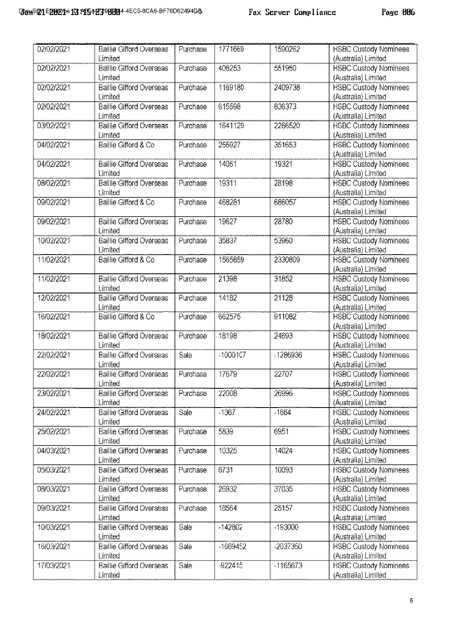| 02/02/2021 | Baillie Gifford Overseas<br>Limited        | Purchase | 1771669   | 1590262    | <b>HSBC Custody Nominees</b><br>(Australia) Limited |
|------------|--------------------------------------------|----------|-----------|------------|-----------------------------------------------------|
|            |                                            |          |           |            |                                                     |
| 02/02/2021 | <b>Baillie Gifford Overseas</b><br>Limited | Purchase | 406253    | 551950     | <b>HSBC Custody Nominees</b><br>(Australia) Limited |
| 02/02/2021 | <b>Baillie Gifford Overseas</b>            | Purchase | 1169180   | 2409738    | <b>HSBC Custody Nominees</b>                        |
|            | Limited                                    |          |           |            | (Australia) Limited                                 |
| 02/02/2021 | Baillie Gifford Overseas                   | Purchase | 615598    | 836373     |                                                     |
|            | Limited                                    |          |           |            | <b>HSBC Custody Nominees</b><br>(Australia) Limited |
|            |                                            |          |           |            |                                                     |
| 03/02/2021 | <b>Baillie Gifford Overseas</b><br>Limited | Purchase | 1641129   | 2266520    | <b>HSBC Custody Nominees</b><br>(Australia) Limited |
| 04/02/2021 | Baillie Gifford & Co                       | Purchase | 255927    | 351653     | <b>HSBC Custody Nominees</b>                        |
|            |                                            |          |           |            | (Australia) Limited                                 |
| 04/02/2021 | <b>Baillie Gifford Overseas</b>            | Purchase | 14061     | 19321      | <b>HSBC Custody Nominees</b>                        |
|            | Limited                                    |          |           |            | (Australia) Limited                                 |
| 08/02/2021 | Baillie Gifford Overseas                   | Purchase | 19311     | 28198      |                                                     |
|            | Limited                                    |          |           |            | <b>HSBC Custody Nominees</b><br>(Australia) Limited |
| 09/02/2021 | Baillie Gifford & Co                       | Purchase | 468281    | 686057     | <b>HSBC Custody Nominees</b>                        |
|            |                                            |          |           |            | (Australia) Limited                                 |
| 09/02/2021 | <b>Baillie Gifford Overseas</b>            | Purchase | 19627     | 28780      | <b>HSBC Custody Nominees</b>                        |
|            | Limited                                    |          |           |            | (Australia) Limited                                 |
| 10/02/2021 | Baillie Gifford Overseas                   | Purchase | 35837     | 53960      | <b>HSBC Custody Nominees</b>                        |
|            | Limited                                    |          |           |            | (Australia) Limited                                 |
|            |                                            |          |           |            |                                                     |
| 11/02/2021 | Baillie Gifford & Co                       | Purchase | 1565859   | 2330809    | <b>HSBC Custody Nominees</b>                        |
|            |                                            |          |           |            | (Australia) Limited                                 |
| 11/02/2021 | <b>Baillie Gifford Overseas</b>            | Purchase | 21398     | 31852      | <b>HSBC Custody Nominees</b>                        |
|            | Limited                                    |          |           |            | (Australia) Limited                                 |
| 12/02/2021 | <b>Baillie Gifford Overseas</b>            | Purchase | 14182     | 21128      | <b>HSBC Custody Nominees</b>                        |
|            | Limited                                    |          |           |            | (Australia) Limited                                 |
| 16/02/2021 | Baillie Gifford & Co                       | Purchase | 662575    | 911082     | <b>HSBC Custody Nominees</b>                        |
|            |                                            |          |           |            | (Australia) Limited                                 |
| 18/02/2021 | <b>Baillie Gifford Overseas</b>            | Purchase | 18198     | 24693      | <b>HSBC Custody Nominees</b>                        |
|            | Limited                                    |          |           |            | (Australia) Limited                                 |
| 22/02/2021 | <b>Baillie Gifford Overseas</b>            | Sale     | -1000107  | -1286936   | <b>HSBC Custody Nominees</b>                        |
|            | Limited                                    |          |           |            | (Australia) Limited                                 |
| 22/02/2021 | Baillie Gifford Overseas                   | Purchase | 17679     | 22707      | <b>HSBC Custody Nominees</b>                        |
|            | Limited                                    |          |           |            | (Australia) Limited                                 |
| 23/02/2021 | <b>Baillie Gifford Overseas</b>            | Purchase | 22008     | 26996      | <b>HSBC Custody Nominees</b>                        |
|            | Limited                                    |          |           |            | (Australia) Limited                                 |
| 24/02/2021 | <b>Baillie Gifford Overseas</b>            | Sale     | $-1367$   | $-1664$    | <b>HSBC Custody Nominees</b>                        |
|            | Limited                                    |          |           |            | (Australia) Limited                                 |
| 25/02/2021 | <b>Baillie Gifford Overseas</b>            | Purchase | 5839      | 6951       | <b>HSBC Custody Nominees</b>                        |
|            | Limited                                    |          |           |            | (Australia) Limited                                 |
| 04/03/2021 | <b>Baillie Gifford Overseas</b>            | Purchase | 10325     | 14024      | <b>HSBC Custody Nominees</b>                        |
|            | Limited                                    |          |           |            | (Australia) Limited                                 |
| 05/03/2021 | <b>Baillie Gifford Overseas</b>            | Purchase | 6731      | 10093      | <b>HSBC Custody Nominees</b>                        |
|            | Limited                                    |          |           |            | (Australia) Limited                                 |
| 08/03/2021 | <b>Baillie Gifford Overseas</b>            | Purchase | 26932     | 37035      | <b>HSBC Custody Nominees</b>                        |
|            | Limited                                    |          |           |            | (Australia) Limited                                 |
| 09/03/2021 | Baillie Gifford Overseas                   | Purchase | 18564     | 25157      | <b>HSBC Custody Nominees</b>                        |
|            | Limited                                    |          |           |            | (Australia) Limited                                 |
| 10/03/2021 | <b>Baillie Gifford Overseas</b>            | Sale     | $-142802$ | -193000    | <b>HSBC Custody Nominees</b>                        |
|            | Limited                                    |          |           |            | (Australia) Limited                                 |
| 16/03/2021 | <b>Baillie Gifford Overseas</b>            | Sale     | -1669452  | -2037350   | <b>HSBC Custody Nominees</b>                        |
|            | Limited                                    |          |           |            | (Australia) Limited                                 |
| 17/03/2021 | <b>Baillie Gifford Overseas</b>            | Sale     | $-922415$ | $-1165673$ | <b>HSBC Custody Nominees</b>                        |
|            | Limited                                    |          |           |            |                                                     |
|            |                                            |          |           |            | (Australia) Limited                                 |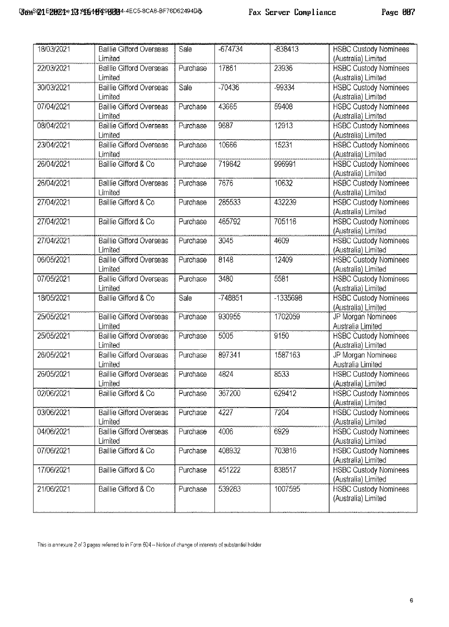| 18/03/2021 | Baillie Gifford Overseas        | Sale     | $-674734$ | $-838413$ | <b>HSBC Custody Nominees</b> |
|------------|---------------------------------|----------|-----------|-----------|------------------------------|
|            | Limited                         |          |           |           | (Australia) Limited          |
| 22/03/2021 | <b>Baillie Gifford Overseas</b> | Purchase | 17861     | 23936     | <b>HSBC Custody Nominees</b> |
|            | Limited                         |          |           |           | (Australia) Limited          |
| 30/03/2021 | <b>Baillie Gifford Overseas</b> | Sale     | $-70436$  | -99334    | <b>HSBC Custody Nominees</b> |
|            | Limited                         |          |           |           | (Australia) Limited          |
| 07/04/2021 | Baillie Gifford Overseas        | Purchase | 43665     | 59408     | <b>HSBC Custody Nominees</b> |
|            | Limited                         |          |           |           | (Australia) Limited          |
| 08/04/2021 | <b>Baillie Gifford Overseas</b> | Purchase | 9687      | 12913     | <b>HSBC Custody Nominees</b> |
|            | Limited                         |          |           |           | (Australia) Limited          |
| 23/04/2021 | <b>Baillie Gifford Overseas</b> | Purchase | 10666     | 15231     | <b>HSBC Custody Nominees</b> |
|            | Limited                         |          |           |           | (Australia) Limited          |
| 26/04/2021 | Baillie Gifford & Co            | Purchase | 719842    | 996991    | <b>HSBC Custody Nominees</b> |
|            |                                 |          |           |           | (Australia) Limited          |
| 26/04/2021 | <b>Baillie Gifford Overseas</b> | Purchase | 7676      | 10632     | <b>HSBC Custody Nominees</b> |
|            | Limited                         |          |           |           | (Australia) Limited          |
| 27/04/2021 | Baillie Gifford & Co            | Purchase | 285533    | 432239    | <b>HSBC Custody Nominees</b> |
|            |                                 |          |           |           | (Australia) Limited          |
|            | Baillie Gifford & Co            |          | 465792    |           |                              |
| 27/04/2021 |                                 | Purchase |           | 705116    | <b>HSBC Custody Nominees</b> |
|            |                                 |          |           |           | (Australia) Limited          |
| 27/04/2021 | <b>Baillie Gifford Overseas</b> | Purchase | 3045      | 4609      | <b>HSBC Custody Nominees</b> |
|            | Limited                         |          |           |           | (Australia) Limited          |
| 06/05/2021 | <b>Baillie Gifford Overseas</b> | Purchase | 8148      | 12409     | <b>HSBC Custody Nominees</b> |
|            | Limited                         |          |           |           | (Australia) Limited          |
| 07/05/2021 | <b>Baillie Gifford Overseas</b> | Purchase | 3480      | 5581      | <b>HSBC Custody Nominees</b> |
|            | Limited                         |          |           |           | (Australia) Limited          |
| 18/05/2021 | Baillie Gifford & Co            | Sale     | $-748851$ | -1335698  | <b>HSBC Custody Nominees</b> |
|            |                                 |          |           |           | (Australia) Limited          |
| 25/05/2021 | <b>Baillie Gifford Overseas</b> | Purchase | 930955    | 1702059   | JP Morgan Nominees           |
|            | Limited                         |          |           |           | Australia Limited            |
| 25/05/2021 | <b>Baillie Gifford Overseas</b> | Purchase | 5005      | 9150      | <b>HSBC Custody Nominees</b> |
|            | Limited                         |          |           |           | (Australia) Limited          |
| 26/05/2021 | <b>Baillie Gifford Overseas</b> | Purchase | 897341    | 1587163   | JP Morgan Nominees           |
|            | Limited                         |          |           |           | Australia Limited            |
| 26/05/2021 | <b>Baillie Gifford Overseas</b> | Purchase | 4824      | 8533      | <b>HSBC Custody Nominees</b> |
|            | Limited                         |          |           |           | (Australia) Limited          |
| 02/06/2021 | Baillie Gifford & Co            | Purchase | 367200    | 629412    | <b>HSBC Custody Nominees</b> |
|            |                                 |          |           |           | (Australia) Limited          |
| 03/06/2021 | Baillie Gifford Overseas        | Purchase | 4227      | 7204      | <b>HSBC Custody Nominees</b> |
|            | Limited                         |          |           |           | (Australia) Limited          |
| 04/06/2021 | <b>Baillie Gifford Overseas</b> | Purchase | 4006      | 6929      | <b>HSBC Custody Nominees</b> |
|            | Limited                         |          |           |           | (Australia) Limited          |
| 07/06/2021 | Baillie Gifford & Co            | Purchase | 408932    | 703816    | <b>HSBC Custody Nominees</b> |
|            |                                 |          |           |           | (Australia) Limited          |
| 17/06/2021 | Baillie Gifford & Co.           | Purchase | 451222    | 838517    | <b>HSBC Custody Nominees</b> |
|            |                                 |          |           |           |                              |
|            |                                 |          |           | 1007595   | (Australia) Limited          |
| 21/06/2021 | Baillie Gifford & Co            | Purchase | 539283    |           | <b>HSBC Custody Nominees</b> |
|            |                                 |          |           |           | (Australia) Limited          |
|            |                                 |          |           |           |                              |

This is annexure 2 of 3 pages referred to in Form 604 - Notice of change of interests of substantial holder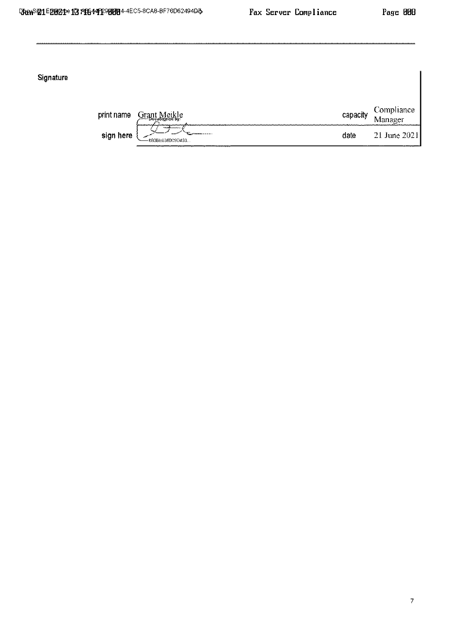Signature

| print name   | - Docusianed Dr.<br><b>UVIV-VIV</b>                                                                         | capacity      | . ompliance                      |
|--------------|-------------------------------------------------------------------------------------------------------------|---------------|----------------------------------|
| sign<br>nere | <b>CONTRACTOR</b> CONTRACTOR<br><b>WALKARD </b><br>-083950360090433<br>--------<br>--------<br>----<br>---- | date<br>----- | June 2021<br>----------<br>----- |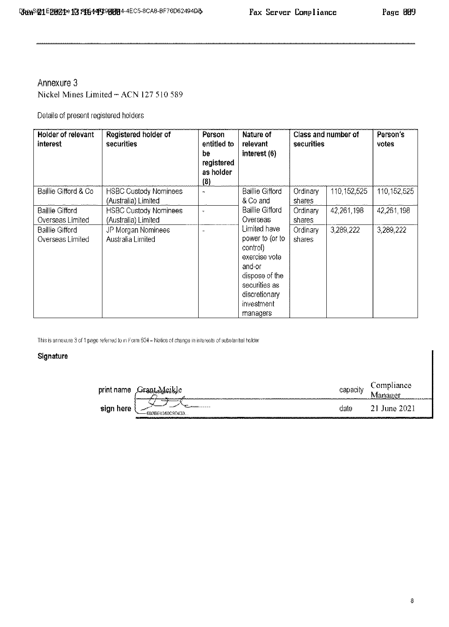## Annexure 3 Nickel Mines Limited - ACN 127 510 589

Details of present registered holders

| Holder of relevant<br>interest             | Registered holder of<br>securities                  | Person<br>entitled to<br>be<br>registered<br>as holder<br>(8) | Nature of<br>relevant<br>interest (6)                                                                                                                | securities         | Class and number of | Person's<br>votes |
|--------------------------------------------|-----------------------------------------------------|---------------------------------------------------------------|------------------------------------------------------------------------------------------------------------------------------------------------------|--------------------|---------------------|-------------------|
| Baillie Gifford & Co                       | <b>HSBC Custody Nominees</b><br>(Australia) Limited | m.                                                            | Baillie Gifford<br>& Co and                                                                                                                          | Ordinary<br>shares | 110,152,525         | 110,152,525       |
| Baillie Gifford<br>Overseas Limited        | <b>HSBC Custody Nominees</b><br>(Australia) Limited |                                                               | Baillie Gifford<br>Overseas                                                                                                                          | Ordinary<br>shares | 42.261.198          | 42,261,198        |
| <b>Baillie Gifford</b><br>Overseas Limited | JP Morgan Nominees<br>Australia Limited             |                                                               | Limited have<br>power to (or to<br>control)<br>exercise vote<br>and-or<br>dispose of the<br>securities as<br>discretionary<br>investment<br>managers | Ordinary<br>shares | 3,289,222           | 3,289,222         |

This is annexure 3 of 1 page referred to in Form 604 - Notice of change in interests of substantial holder

## Signature

| rrr<br>าะ  |                            | n ar<br>acin | lian e e<br>,,,,,,,<br>.<br><b>COMMUNICATION</b><br>88219292000 |
|------------|----------------------------|--------------|-----------------------------------------------------------------|
| rere<br>ுங | <br>---<br>883BE0380C9D433 |              | --<br>-----------------------------<br>--------                 |